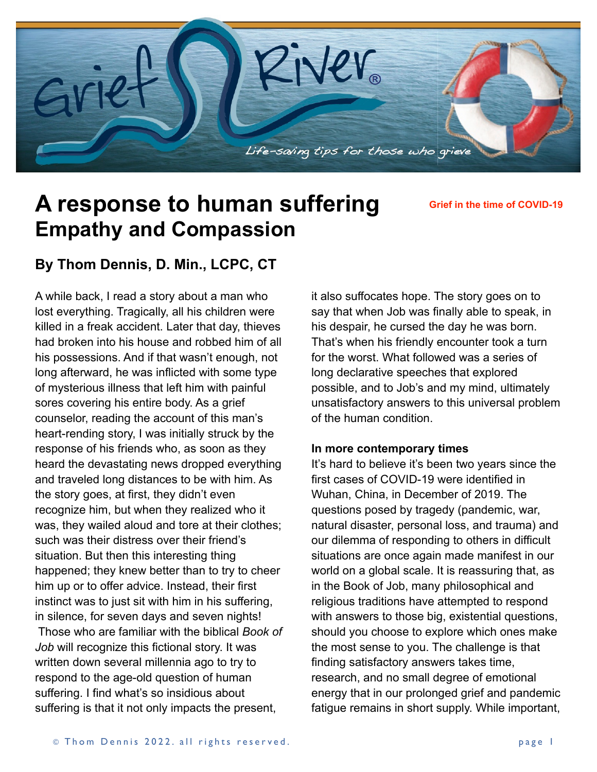

# **A response to human suffering Empathy and Compassion**

**Grief in the time of COVID-19**

## **By Thom Dennis, D. Min., LCPC, CT**

A while back, I read a story about a man who lost everything. Tragically, all his children were killed in a freak accident. Later that day, thieves had broken into his house and robbed him of all his possessions. And if that wasn't enough, not long afterward, he was inflicted with some type of mysterious illness that left him with painful sores covering his entire body. As a grief counselor, reading the account of this man's heart-rending story, I was initially struck by the response of his friends who, as soon as they heard the devastating news dropped everything and traveled long distances to be with him. As the story goes, at first, they didn't even recognize him, but when they realized who it was, they wailed aloud and tore at their clothes; such was their distress over their friend's situation. But then this interesting thing happened; they knew better than to try to cheer him up or to offer advice. Instead, their first instinct was to just sit with him in his suffering, in silence, for seven days and seven nights!

 Those who are familiar with the biblical *Book of Job* will recognize this fictional story. It was written down several millennia ago to try to respond to the age-old question of human suffering. I find what's so insidious about suffering is that it not only impacts the present,

it also suffocates hope. The story goes on to say that when Job was finally able to speak, in his despair, he cursed the day he was born. That's when his friendly encounter took a turn for the worst. What followed was a series of long declarative speeches that explored possible, and to Job's and my mind, ultimately unsatisfactory answers to this universal problem of the human condition.

#### **In more contemporary times**

It's hard to believe it's been two years since the first cases of COVID-19 were identified in Wuhan, China, in December of 2019. The questions posed by tragedy (pandemic, war, natural disaster, personal loss, and trauma) and our dilemma of responding to others in difficult situations are once again made manifest in our world on a global scale. It is reassuring that, as in the Book of Job, many philosophical and religious traditions have attempted to respond with answers to those big, existential questions, should you choose to explore which ones make the most sense to you. The challenge is that finding satisfactory answers takes time, research, and no small degree of emotional energy that in our prolonged grief and pandemic fatigue remains in short supply. While important,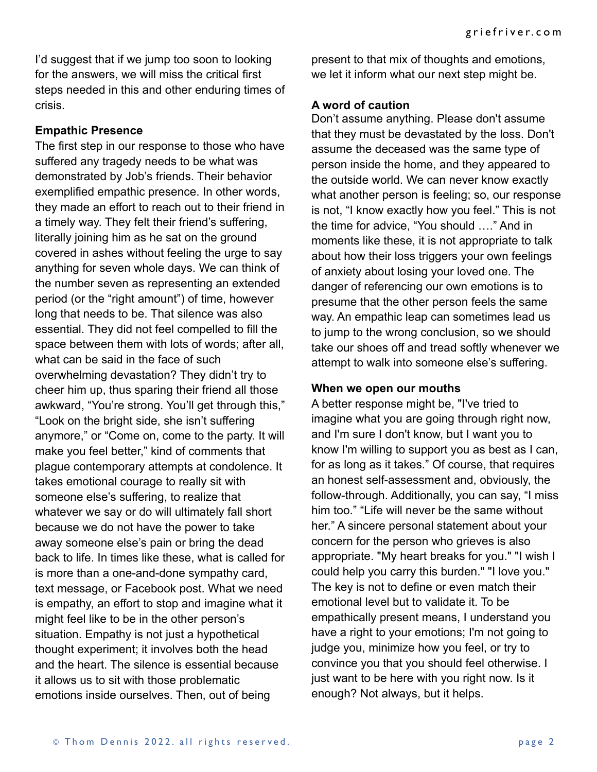I'd suggest that if we jump too soon to looking for the answers, we will miss the critical first steps needed in this and other enduring times of crisis.

#### **Empathic Presence**

The first step in our response to those who have suffered any tragedy needs to be what was demonstrated by Job's friends. Their behavior exemplified empathic presence. In other words, they made an effort to reach out to their friend in a timely way. They felt their friend's suffering, literally joining him as he sat on the ground covered in ashes without feeling the urge to say anything for seven whole days. We can think of the number seven as representing an extended period (or the "right amount") of time, however long that needs to be. That silence was also essential. They did not feel compelled to fill the space between them with lots of words; after all, what can be said in the face of such overwhelming devastation? They didn't try to cheer him up, thus sparing their friend all those awkward, "You're strong. You'll get through this," "Look on the bright side, she isn't suffering anymore," or "Come on, come to the party. It will make you feel better," kind of comments that plague contemporary attempts at condolence. It takes emotional courage to really sit with someone else's suffering, to realize that whatever we say or do will ultimately fall short because we do not have the power to take away someone else's pain or bring the dead back to life. In times like these, what is called for is more than a one-and-done sympathy card, text message, or Facebook post. What we need is empathy, an effort to stop and imagine what it might feel like to be in the other person's situation. Empathy is not just a hypothetical thought experiment; it involves both the head and the heart. The silence is essential because it allows us to sit with those problematic emotions inside ourselves. Then, out of being

present to that mix of thoughts and emotions, we let it inform what our next step might be.

### **A word of caution**

Don't assume anything. Please don't assume that they must be devastated by the loss. Don't assume the deceased was the same type of person inside the home, and they appeared to the outside world. We can never know exactly what another person is feeling; so, our response is not, "I know exactly how you feel." This is not the time for advice, "You should …." And in moments like these, it is not appropriate to talk about how their loss triggers your own feelings of anxiety about losing your loved one. The danger of referencing our own emotions is to presume that the other person feels the same way. An empathic leap can sometimes lead us to jump to the wrong conclusion, so we should take our shoes off and tread softly whenever we attempt to walk into someone else's suffering.

#### **When we open our mouths**

A better response might be, "I've tried to imagine what you are going through right now, and I'm sure I don't know, but I want you to know I'm willing to support you as best as I can, for as long as it takes." Of course, that requires an honest self-assessment and, obviously, the follow-through. Additionally, you can say, "I miss him too." "Life will never be the same without her." A sincere personal statement about your concern for the person who grieves is also appropriate. "My heart breaks for you." "I wish I could help you carry this burden." "I love you." The key is not to define or even match their emotional level but to validate it. To be empathically present means, I understand you have a right to your emotions; I'm not going to judge you, minimize how you feel, or try to convince you that you should feel otherwise. I just want to be here with you right now. Is it enough? Not always, but it helps.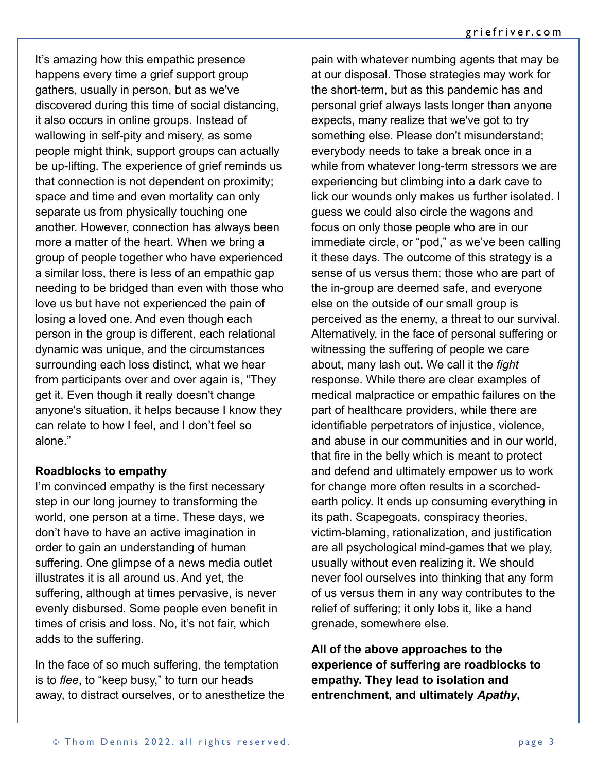It's amazing how this empathic presence happens every time a grief support group gathers, usually in person, but as we've discovered during this time of social distancing, it also occurs in online groups. Instead of wallowing in self-pity and misery, as some people might think, support groups can actually be up-lifting. The experience of grief reminds us that connection is not dependent on proximity; space and time and even mortality can only separate us from physically touching one another. However, connection has always been more a matter of the heart. When we bring a group of people together who have experienced a similar loss, there is less of an empathic gap needing to be bridged than even with those who love us but have not experienced the pain of losing a loved one. And even though each person in the group is different, each relational dynamic was unique, and the circumstances surrounding each loss distinct, what we hear from participants over and over again is, "They get it. Even though it really doesn't change anyone's situation, it helps because I know they can relate to how I feel, and I don't feel so alone."

#### **Roadblocks to empathy**

I'm convinced empathy is the first necessary step in our long journey to transforming the world, one person at a time. These days, we don't have to have an active imagination in order to gain an understanding of human suffering. One glimpse of a news media outlet illustrates it is all around us. And yet, the suffering, although at times pervasive, is never evenly disbursed. Some people even benefit in times of crisis and loss. No, it's not fair, which adds to the suffering.

In the face of so much suffering, the temptation is to *flee*, to "keep busy," to turn our heads away, to distract ourselves, or to anesthetize the

pain with whatever numbing agents that may be at our disposal. Those strategies may work for the short-term, but as this pandemic has and personal grief always lasts longer than anyone expects, many realize that we've got to try something else. Please don't misunderstand; everybody needs to take a break once in a while from whatever long-term stressors we are experiencing but climbing into a dark cave to lick our wounds only makes us further isolated. I guess we could also circle the wagons and focus on only those people who are in our immediate circle, or "pod," as we've been calling it these days. The outcome of this strategy is a sense of us versus them; those who are part of the in-group are deemed safe, and everyone else on the outside of our small group is perceived as the enemy, a threat to our survival. Alternatively, in the face of personal suffering or witnessing the suffering of people we care about, many lash out. We call it the *fight* response. While there are clear examples of medical malpractice or empathic failures on the part of healthcare providers, while there are identifiable perpetrators of injustice, violence, and abuse in our communities and in our world, that fire in the belly which is meant to protect and defend and ultimately empower us to work for change more often results in a scorchedearth policy. It ends up consuming everything in its path. Scapegoats, conspiracy theories, victim-blaming, rationalization, and justification are all psychological mind-games that we play, usually without even realizing it. We should never fool ourselves into thinking that any form of us versus them in any way contributes to the relief of suffering; it only lobs it, like a hand grenade, somewhere else.

**All of the above approaches to the experience of suffering are roadblocks to empathy. They lead to isolation and entrenchment, and ultimately** *Apathy***,**